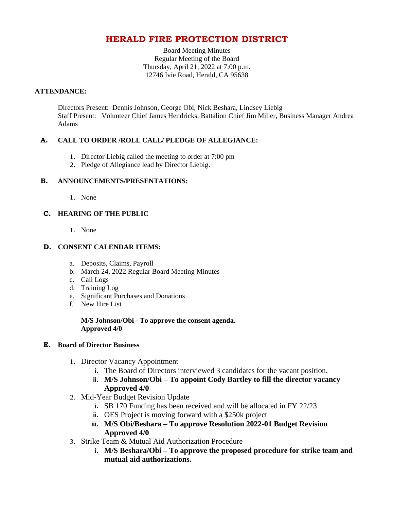## **HERALD FIRE PROTECTION DISTRICT**

Board Meeting Minutes Regular Meeting of the Board Thursday, April 21, 2022 at 7:00 p.m. 12746 Ivie Road, Herald, CA 95638

#### **ATTENDANCE:**

Directors Present: Dennis Johnson, George Obi, Nick Beshara, Lindsey Liebig Staff Present: Volunteer Chief James Hendricks, Battalion Chief Jim Miller, Business Manager Andrea Adams

## **A. CALL TO ORDER /ROLL CALL/ PLEDGE OF ALLEGIANCE:**

- 1. Director Liebig called the meeting to order at 7:00 pm
- 2. Pledge of Allegiance lead by Director Liebig.

## **B. ANNOUNCEMENTS/PRESENTATIONS:**

1. None

## **C. HEARING OF THE PUBLIC**

1. None

## **D. CONSENT CALENDAR ITEMS:**

- a. Deposits, Claims, Payroll
- b. March 24, 2022 Regular Board Meeting Minutes
- c. Call Logs
- d. Training Log
- e. Significant Purchases and Donations
- f. New Hire List

**M/S Johnson/Obi - To approve the consent agenda. Approved 4/0**

#### **E. Board of Director Business**

- 1. Director Vacancy Appointment
	- **i.** The Board of Directors interviewed 3 candidates for the vacant position.
	- **ii. M/S Johnson/Obi – To appoint Cody Bartley to fill the director vacancy Approved 4/0**
- 2. Mid-Year Budget Revision Update
	- **i.** SB 170 Funding has been received and will be allocated in FY 22/23
	- **ii.** OES Project is moving forward with a \$250k project
	- **iii. M/S Obi/Beshara – To approve Resolution 2022-01 Budget Revision Approved 4/0**
- 3. Strike Team & Mutual Aid Authorization Procedure
	- **i. M/S Beshara/Obi – To approve the proposed procedure for strike team and mutual aid authorizations.**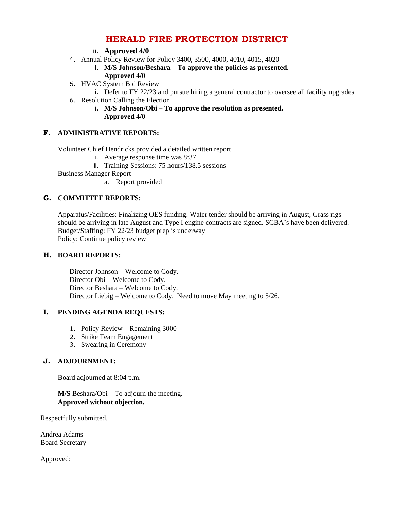# **HERALD FIRE PROTECTION DISTRICT**

- **ii. Approved 4/0**
- 4. Annual Policy Review for Policy 3400, 3500, 4000, 4010, 4015, 4020
	- **i. M/S Johnson/Beshara – To approve the policies as presented. Approved 4/0**
- 5. HVAC System Bid Review
	- **i.** Defer to FY 22/23 and pursue hiring a general contractor to oversee all facility upgrades
- 6. Resolution Calling the Election
	- **i. M/S Johnson/Obi – To approve the resolution as presented. Approved 4/0**

## **F. ADMINISTRATIVE REPORTS:**

Volunteer Chief Hendricks provided a detailed written report.

- i. Average response time was 8:37
- ii. Training Sessions: 75 hours/138.5 sessions
- Business Manager Report
	- a. Report provided

## **G. COMMITTEE REPORTS:**

Apparatus/Facilities: Finalizing OES funding. Water tender should be arriving in August, Grass rigs should be arriving in late August and Type I engine contracts are signed. SCBA's have been delivered. Budget/Staffing: FY 22/23 budget prep is underway Policy: Continue policy review

#### **H. BOARD REPORTS:**

Director Johnson – Welcome to Cody. Director Obi – Welcome to Cody. Director Beshara – Welcome to Cody. Director Liebig – Welcome to Cody. Need to move May meeting to 5/26.

#### **I. PENDING AGENDA REQUESTS:**

- 1. Policy Review Remaining 3000
- 2. Strike Team Engagement
- 3. Swearing in Ceremony

#### **J. ADJOURNMENT:**

Board adjourned at 8:04 p.m.

#### **M/S** Beshara/Obi – To adjourn the meeting. **Approved without objection.**

Respectfully submitted,

\_\_\_\_\_\_\_\_\_\_\_\_\_\_\_\_\_\_\_\_\_\_\_\_

Andrea Adams Board Secretary

Approved: